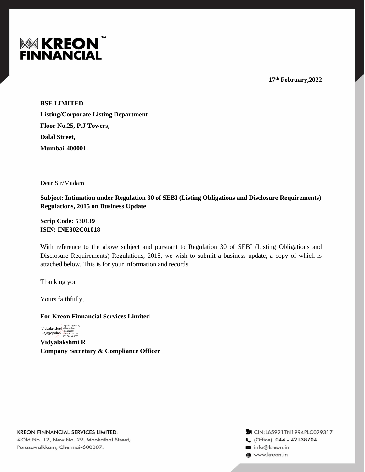

**17 th February,2022**

**BSE LIMITED Listing/Corporate Listing Department Floor No.25, P.J Towers, Dalal Street, Mumbai-400001.**

Dear Sir/Madam

**Subject: Intimation under Regulation 30 of SEBI (Listing Obligations and Disclosure Requirements) Regulations, 2015 on Business Update** 

**Scrip Code: 530139 ISIN: INE302C01018**

With reference to the above subject and pursuant to Regulation 30 of SEBI (Listing Obligations and Disclosure Requirements) Regulations, 2015, we wish to submit a business update, a copy of which is attached below. This is for your information and records.

Thanking you

Yours faithfully,

**For Kreon Finnancial Services Limited**

Vidyalakshm<mark>i</mark><br>Rajagopalan Digitally signed by Vidyalakshmi Rajagopalan Date: 2022.02.17 13:27:04 +05'30'

**Vidyalakshmi R Company Secretary & Compliance Officer**

Tr CIN:L65921TN1994PLC029317 C (Office) 044 - 42138704 info@kreon.in to www.kreon.in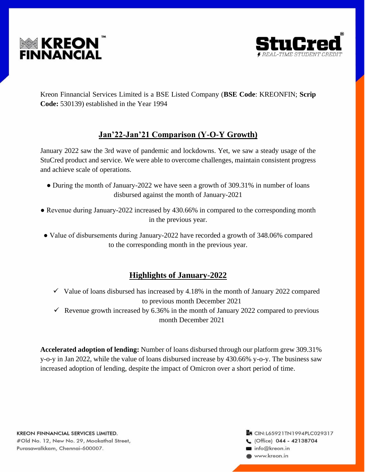



Kreon Finnancial Services Limited is a BSE Listed Company (**BSE Code**: KREONFIN; **Scrip Code:** 530139) established in the Year 1994

# **Jan'22-Jan'21 Comparison (Y-O-Y Growth)**

January 2022 saw the 3rd wave of pandemic and lockdowns. Yet, we saw a steady usage of the StuCred product and service. We were able to overcome challenges, maintain consistent progress and achieve scale of operations.

- During the month of January-2022 we have seen a growth of 309.31% in number of loans disbursed against the month of January-2021
- Revenue during January-2022 increased by 430.66% in compared to the corresponding month in the previous year.
- Value of disbursements during January-2022 have recorded a growth of 348.06% compared to the corresponding month in the previous year.

## **Highlights of January-2022**

- $\checkmark$  Value of loans disbursed has increased by 4.18% in the month of January 2022 compared to previous month December 2021
- $\checkmark$  Revenue growth increased by 6.36% in the month of January 2022 compared to previous month December 2021

**Accelerated adoption of lending:** Number of loans disbursed through our platform grew 309.31% y-o-y in Jan 2022, while the value of loans disbursed increase by 430.66% y-o-y. The business saw increased adoption of lending, despite the impact of Omicron over a short period of time.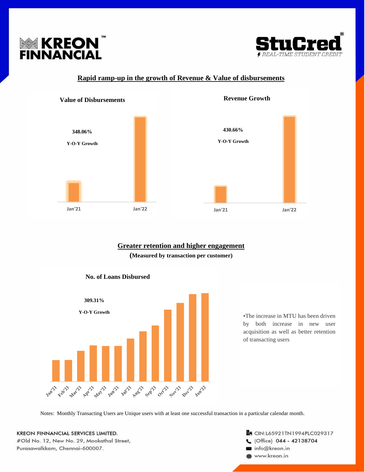



### **Rapid ramp-up in the growth of Revenue & Value of disbursements**



### **Greater retention and higher engagement**

**(Measured by transaction per customer)**



•The increase in MTU has been driven by both increase in new user acquisition as well as better retention of transacting users

Notes: Monthly Transacting Users are Unique users with at least one successful transaction in a particular calendar month.

**KREON FINNANCIAL SERVICES LIMITED.** #Old No. 12, New No. 29, Mookathal Street, Purasawalkkam, Chennai-600007.

**En CIN:L65921TN1994PLC029317** C (Office) 044 - 42138704 info@kreon.in www.kreon.in